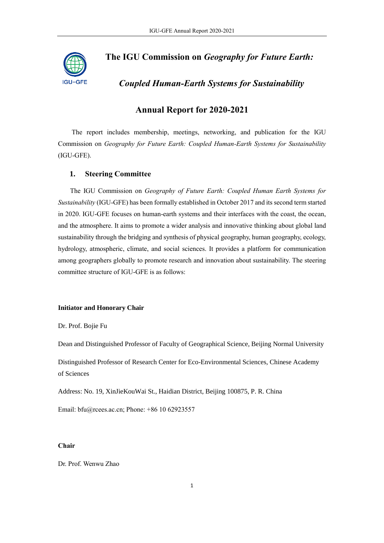

# **The IGU Commission on** *Geography for Future Earth:*

*Coupled Human-Earth Systems for Sustainability* 

# **Annual Report for 2020-2021**

The report includes membership, meetings, networking, and publication for the IGU Commission on *Geography for Future Earth: Coupled Human-Earth Systems for Sustainability* (IGU-GFE).

# **1. Steering Committee**

The IGU Commission on *Geography of Future Earth: Coupled Human Earth Systems for Sustainability* (IGU-GFE) has been formally established in October 2017 and its second term started in 2020. IGU-GFE focuses on human-earth systems and their interfaces with the coast, the ocean, and the atmosphere. It aims to promote a wider analysis and innovative thinking about global land sustainability through the bridging and synthesis of physical geography, human geography, ecology, hydrology, atmospheric, climate, and social sciences. It provides a platform for communication among geographers globally to promote research and innovation about sustainability. The steering committee structure of IGU-GFE is as follows:

# **Initiator and Honorary Chair**

Dr. Prof. Bojie Fu

Dean and Distinguished Professor of Faculty of Geographical Science, Beijing Normal University

Distinguished Professor of Research Center for Eco-Environmental Sciences, Chinese Academy of Sciences

Address: No. 19, XinJieKouWai St., Haidian District, Beijing 100875, P. R. China

Email: bfu@rcees.ac.cn; Phone: +86 10 62923557

### **Chair**

Dr. Prof. Wenwu Zhao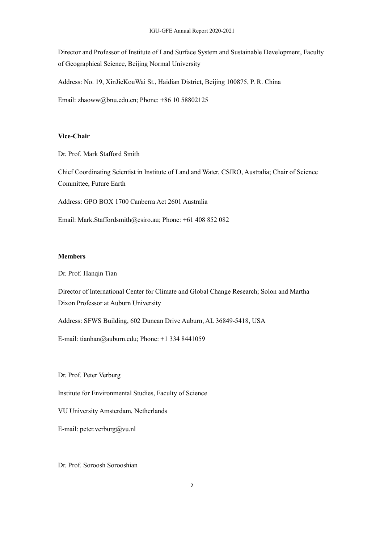Director and Professor of Institute of Land Surface System and Sustainable Development, Faculty of Geographical Science, Beijing Normal University

Address: No. 19, XinJieKouWai St., Haidian District, Beijing 100875, P. R. China

Email: zhaoww@bnu.edu.cn; Phone: +86 10 58802125

# **Vice-Chair**

Dr. Prof. Mark Stafford Smith

Chief Coordinating Scientist in Institute of Land and Water, CSIRO, Australia; Chair of Science Committee, Future Earth

Address: GPO BOX 1700 Canberra Act 2601 Australia

Email: [Mark.Staffordsmith@csiro.au;](mailto:Mark.Staffordsmith@csiro.au) Phone[: +61 408 852 082](tel:+61%20408%20852%20082)

### **Members**

Dr. Prof. Hanqin Tian

Director of International Center for Climate and Global Change Research; Solon and Martha Dixon Professor at Auburn University

Address: SFWS Building, 602 Duncan Drive Auburn, AL 36849-5418, USA

E-mail: [tianhan@auburn.edu;](mailto:tianhan@auburn.edu) Phone: [+1 334 8441059](tel:+61%20408%20852%20082)

Dr. Prof. Peter Verburg

Institute for Environmental Studies, Faculty of Science

VU University Amsterdam, Netherlands

E-mail: peter.verburg@vu.nl

Dr. Prof. Soroosh Sorooshian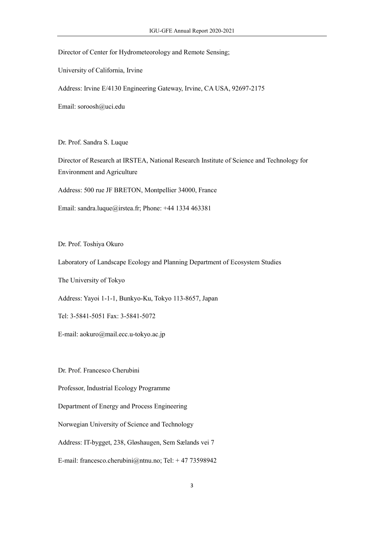## Director of Center for Hydrometeorology and Remote Sensing;

University of California, Irvine

Address: Irvine E/4130 Engineering Gateway, Irvine, CA USA, 92697-2175

Email: soroosh@uci.edu

Dr. Prof. Sandra S. Luque

Director of Research at IRSTEA, National Research Institute of Science and Technology for Environment and Agriculture

Address: 500 rue JF BRETON, Montpellier 34000, France

Email: sandra.luque@irstea.fr; Phone: +44 1334 463381

Dr. Prof. Toshiya Okuro

Laboratory of Landscape Ecology and Planning Department of Ecosystem Studies

The University of Tokyo

Address: Yayoi 1-1-1, Bunkyo-Ku, Tokyo 113-8657, Japan

Tel: 3-5841-5051 Fax: 3-5841-5072

E-mail: aokuro@mail.ecc.u-tokyo.ac.jp

Dr. Prof. Francesco Cherubini

Professor, Industrial Ecology Programme

Department of Energy and Process Engineering

Norwegian University of Science and Technology

Address: IT-bygget, 238, Gløshaugen, Sem Sælands vei 7

E-mail: francesco.cherubini@ntnu.no; Tel: +47 73598942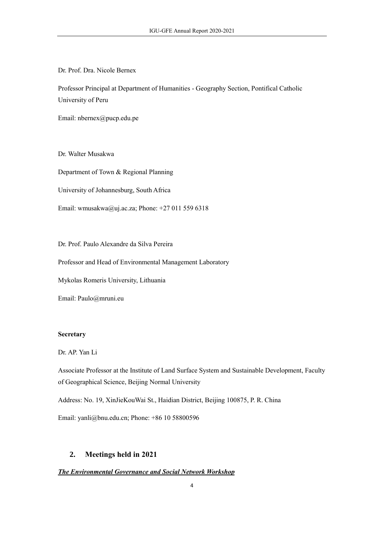Dr. Prof. Dra. Nicole Bernex

Professor Principal at Department of Humanities - Geography Section, Pontifical Catholic University of Peru

Email: [nbernex@pucp.edu.pe](mailto:nbernex@pucp.edu.pe)

Dr. Walter Musakwa

Department of Town & Regional Planning

University of Johannesburg, South Africa

Email: wmusakwa@uj.ac.za; Phone: +27 011 559 6318

Dr. Prof. Paulo Alexandre da Silva Pereira

Professor and Head of Environmental Management Laboratory

Mykolas Romeris University, Lithuania

Email: [Paulo@mruni.eu](mailto:Paulo@mruni.eu)

# **Secretary**

# Dr. AP. Yan Li

Associate Professor at the Institute of Land Surface System and Sustainable Development, Faculty of Geographical Science, Beijing Normal University

Address: No. 19, XinJieKouWai St., Haidian District, Beijing 100875, P. R. China

Email: yanli@bnu.edu.cn; Phone: +86 10 58800596

# **2. Meetings held in 2021**

# *The Environmental Governance and Social Network Workshop*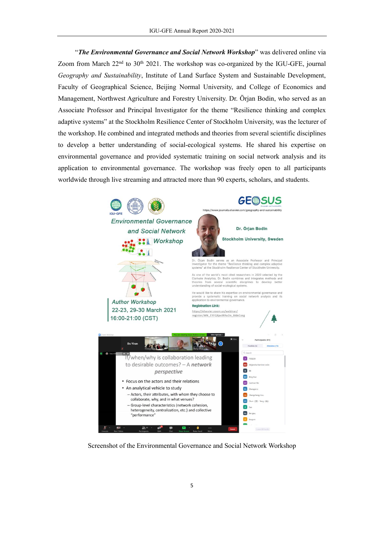"*The Environmental Governance and Social Network Workshop*" was delivered online via Zoom from March  $22<sup>nd</sup>$  to  $30<sup>th</sup>$  2021. The workshop was co-organized by the IGU-GFE, journal *Geography and Sustainability*, Institute of Land Surface System and Sustainable Development, Faculty of Geographical Science, Beijing Normal University, and College of Economics and Management, Northwest Agriculture and Forestry University. Dr. Örjan Bodin, who served as an Associate Professor and Principal Investigator for the theme "Resilience thinking and complex adaptive systems" at the Stockholm Resilience Center of Stockholm University, was the lecturer of the workshop. He combined and integrated methods and theories from several scientific disciplines to develop a better understanding of social-ecological systems. He shared his expertise on environmental governance and provided systematic training on social network analysis and its application to environmental governance. The workshop was freely open to all participants worldwide through live streaming and attracted more than 90 experts, scholars, and students.



Screenshot of the Environmental Governance and Social Network Workshop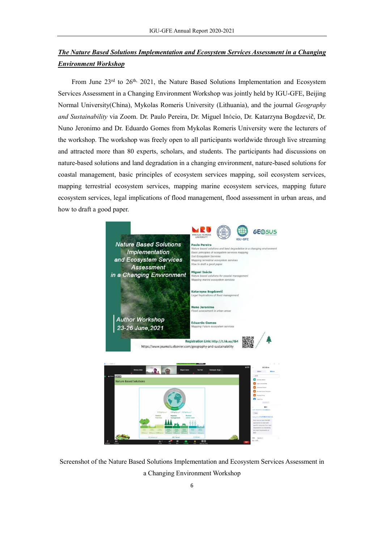# *The Nature Based Solutions Implementation and Ecosystem Services Assessment in a Changing Environment Workshop*

From June  $23<sup>rd</sup>$  to  $26<sup>th</sup>$ ,  $2021$ , the Nature Based Solutions Implementation and Ecosystem Services Assessment in a Changing Environment Workshop was jointly held by IGU-GFE, Beijing Normal University(China), Mykolas Romeris University (Lithuania), and the journal *Geography and Sustainability* via Zoom. Dr. Paulo Pereira, Dr. Miguel Inácio, Dr. Katarzyna Bogdzevič, Dr. Nuno Jeronimo and Dr. Eduardo Gomes from Mykolas Romeris University were the lecturers of the workshop. The workshop was freely open to all participants worldwide through live streaming and attracted more than 80 experts, scholars, and students. The participants had discussions on nature-based solutions and land degradation in a changing environment, nature-based solutions for coastal management, basic principles of ecosystem services mapping, soil ecosystem services, mapping terrestrial ecosystem services, mapping marine ecosystem services, mapping future ecosystem services, legal implications of flood management, flood assessment in urban areas, and how to draft a good paper.



Screenshot of the Nature Based Solutions Implementation and Ecosystem Services Assessment in a Changing Environment Workshop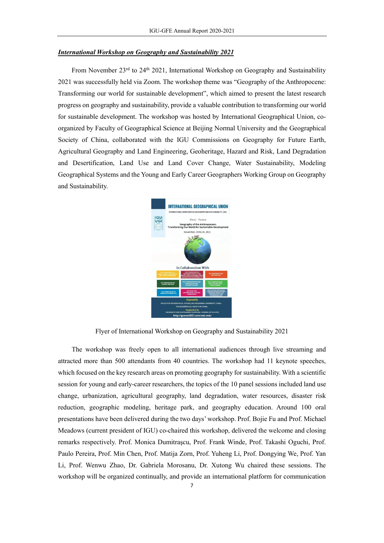#### *International Workshop on Geography and Sustainability 2021*

From November  $23^{rd}$  to  $24^{th}$  2021, International Workshop on Geography and Sustainability 2021 was successfully held via Zoom. The workshop theme was "Geography of the Anthropocene: Transforming our world for sustainable development", which aimed to present the latest research progress on geography and sustainability, provide a valuable contribution to transforming our world for sustainable development. The workshop was hosted by International Geographical Union, coorganized by Faculty of Geographical Science at Beijing Normal University and the Geographical Society of China, collaborated with the IGU Commissions on Geography for Future Earth, Agricultural Geography and Land Engineering, Geoheritage, Hazard and Risk, Land Degradation and Desertification, Land Use and Land Cover Change, Water Sustainability, Modeling Geographical Systems and the Young and Early Career Geographers Working Group on Geography and Sustainability.



Flyer of International Workshop on Geography and Sustainability 2021

The workshop was freely open to all international audiences through live streaming and attracted more than 500 attendants from 40 countries. The workshop had 11 keynote speeches, which focused on the key research areas on promoting geography for sustainability. With a scientific session for young and early-career researchers, the topics of the 10 panel sessions included land use change, urbanization, agricultural geography, land degradation, water resources, disaster risk reduction, geographic modeling, heritage park, and geography education. Around 100 oral presentations have been delivered during the two days' workshop. Prof. Bojie Fu and Prof. Michael Meadows (current president of IGU) co-chaired this workshop, delivered the welcome and closing remarks respectively. Prof. Monica Dumitraşcu, Prof. Frank Winde, Prof. Takashi Oguchi, Prof. Paulo Pereira, Prof. Min Chen, Prof. Matija Zorn, Prof. Yuheng Li, Prof. Dongying We, Prof. Yan Li, Prof. Wenwu Zhao, Dr. Gabriela Morosanu, Dr. Xutong Wu chaired these sessions. The workshop will be organized continually, and provide an international platform for communication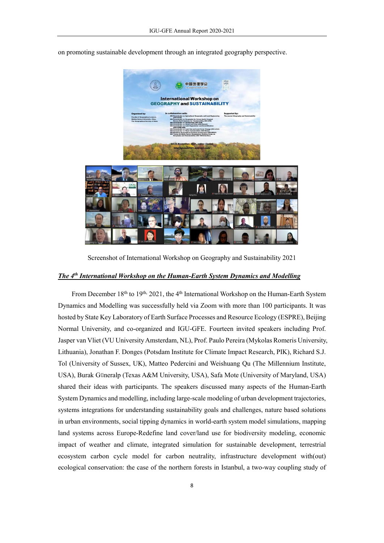

on promoting sustainable development through an integrated geography perspective.

Screenshot of International Workshop on Geography and Sustainability 2021

# *The 4 th International Workshop on the Human-Earth System Dynamics and Modelling*

From December 18<sup>th</sup> to 19<sup>th,</sup> 2021, the 4<sup>th</sup> International Workshop on the Human-Earth System Dynamics and Modelling was successfully held via Zoom with more than 100 participants. It was hosted by State Key Laboratory of Earth Surface Processes and Resource Ecology (ESPRE), Beijing Normal University, and co-organized and IGU-GFE. Fourteen invited speakers including Prof. Jasper van Vliet (VU University Amsterdam, NL), Prof. Paulo Pereira (Mykolas Romeris University, Lithuania), Jonathan F. Donges (Potsdam Institute for Climate Impact Research, PIK), Richard S.J. Tol (University of Sussex, UK), Matteo Pedercini and Weishuang Qu (The Millennium Institute, USA), Burak Güneralp (Texas A&M University, USA), Safa Mote (University of Maryland, USA) shared their ideas with participants. The speakers discussed many aspects of the Human-Earth System Dynamics and modelling, including large-scale modeling of urban development trajectories, systems integrations for understanding sustainability goals and challenges, nature based solutions in urban environments, social tipping dynamics in world-earth system model simulations, mapping land systems across Europe-Redefine land cover/land use for biodiversity modeling, economic impact of weather and climate, integrated simulation for sustainable development, terrestrial ecosystem carbon cycle model for carbon neutrality, infrastructure development with(out) ecological conservation: the case of the northern forests in Istanbul, a two-way coupling study of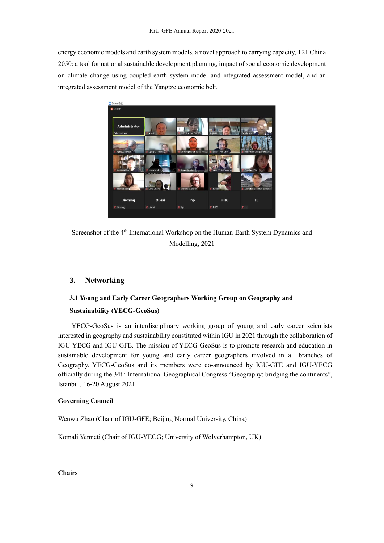energy economic models and earth system models, a novel approach to carrying capacity, T21 China 2050: a tool for national sustainable development planning, impact of social economic development on climate change using coupled earth system model and integrated assessment model, and an integrated assessment model of the Yangtze economic belt.



Screenshot of the 4<sup>th</sup> International Workshop on the Human-Earth System Dynamics and Modelling, 2021

# **3. Networking**

# **3.1 Young and Early Career Geographers Working Group on Geography and Sustainability (YECG-GeoSus)**

YECG-GeoSus is an interdisciplinary working group of young and early career scientists interested in geography and sustainability constituted within IGU in 2021 through the collaboration of IGU-YECG and IGU-GFE. The mission of YECG-GeoSus is to promote research and education in sustainable development for young and early career geographers involved in all branches of Geography. YECG-GeoSus and its members were co-announced by IGU-GFE and IGU-YECG officially during the 34th International Geographical Congress "Geography: bridging the continents", Istanbul, 16-20 August 2021.

# **Governing Council**

Wenwu Zhao (Chair of IGU-GFE; Beijing Normal University, China)

Komali Yenneti (Chair of IGU-YECG; University of Wolverhampton, UK)

**Chairs**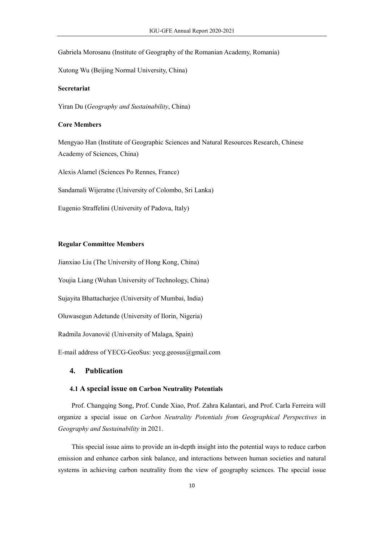Gabriela Morosanu (Institute of Geography of the Romanian Academy, Romania)

Xutong Wu (Beijing Normal University, China)

# **Secretariat**

Yiran Du (*Geography and Sustainability*, China)

# **Core Members**

Mengyao Han (Institute of Geographic Sciences and Natural Resources Research, Chinese Academy of Sciences, China)

Alexis Alamel (Sciences Po Rennes, France)

Sandamali Wijeratne (University of Colombo, Sri Lanka)

Eugenio Straffelini (University of Padova, Italy)

# **Regular Committee Members**

Jianxiao Liu (The University of Hong Kong, China)

Youjia Liang (Wuhan University of Technology, China)

Sujayita Bhattacharjee (University of Mumbai, India)

Oluwasegun Adetunde (University of Ilorin, Nigeria)

Radmila Jovanović (University of Malaga, Spain)

E-mail address of YECG-GeoSus[: yecg.geosus@gmail.com](mailto:yecg.geosus@gmail.com)

# **4. Publication**

## **4.1 A special issue on Carbon Neutrality Potentials**

Prof. Changqing Song, Prof. Cunde Xiao, Prof. Zahra Kalantari, and Prof. Carla Ferreira will organize a special issue on *Carbon Neutrality Potentials from Geographical Perspectives* in *Geography and Sustainability* in 2021.

This special issue aims to provide an in-depth insight into the potential ways to reduce carbon emission and enhance carbon sink balance, and interactions between human societies and natural systems in achieving carbon neutrality from the view of geography sciences. The special issue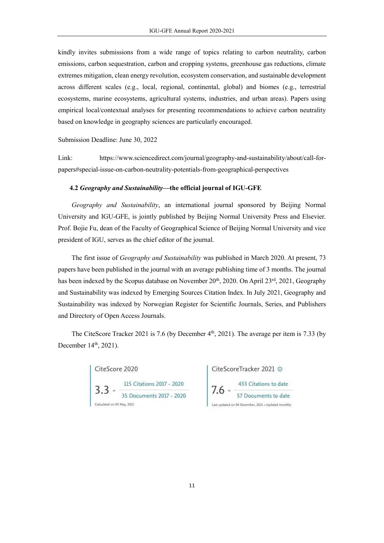kindly invites submissions from a wide range of topics relating to carbon neutrality, carbon emissions, carbon sequestration, carbon and cropping systems, greenhouse gas reductions, climate extremes mitigation, clean energy revolution, ecosystem conservation, and sustainable development across different scales (e.g., local, regional, continental, global) and biomes (e.g., terrestrial ecosystems, marine ecosystems, agricultural systems, industries, and urban areas). Papers using empirical local/contextual analyses for presenting recommendations to achieve carbon neutrality based on knowledge in geography sciences are particularly encouraged.

Submission Deadline: June 30, 2022

Link: https://www.sciencedirect.com/journal/geography-and-sustainability/about/call-forpapers#special-issue-on-carbon-neutrality-potentials-from-geographical-perspectives

## **4.2** *Geography and Sustainability***—the official journal of IGU-GFE**

*Geography and Sustainability*, an international journal sponsored by Beijing Normal University and IGU-GFE, is jointly published by Beijing Normal University Press and Elsevier. Prof. Bojie Fu, dean of the Faculty of Geographical Science of Beijing Normal University and vice president of IGU, serves as the chief editor of the journal.

The first issue of *Geography and Sustainability* was published in March 2020. At present, 73 papers have been published in the journal with an average publishing time of 3 months. The journal has been indexed by the Scopus database on November 20<sup>th</sup>, 2020. On April 23<sup>rd</sup>, 2021, Geography and Sustainability was indexed by Emerging Sources Citation Index. In July 2021, Geography and Sustainability was indexed by Norwegian Register for Scientific Journals, Series, and Publishers and Directory of Open Access Journals.

The CiteScore Tracker 2021 is 7.6 (by December  $4<sup>th</sup>$ , 2021). The average per item is 7.33 (by December 14<sup>th</sup>, 2021).



CiteScoreTracker 2021 © ast updated on 04 December, 2021 . Updated monthly